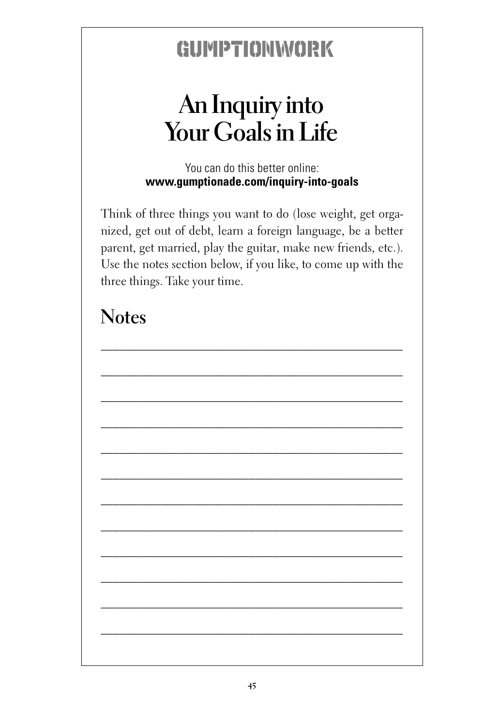## GUMPTIONWORK

# **Your Goals in Life**

You can do this better online: **www.gumptionade.com/inquiry-into-goals**

An Inquiry into<br>
Dur Goals in Life<br>
You can do this better online:<br>
umptionade.com/inquiry-into-goals<br>
things you want to do (lose weight, get orga-<br>
f debt, learn a foreign language, be a better<br>
ried, play the guitar, ma Think of three things you want to do (lose weight, get organized, get out of debt, learn a foreign language, be a better parent, get married, play the guitar, make new friends, etc.). Use the notes section below, if you like, to come up with the three things. Take your time.

#### **Notes**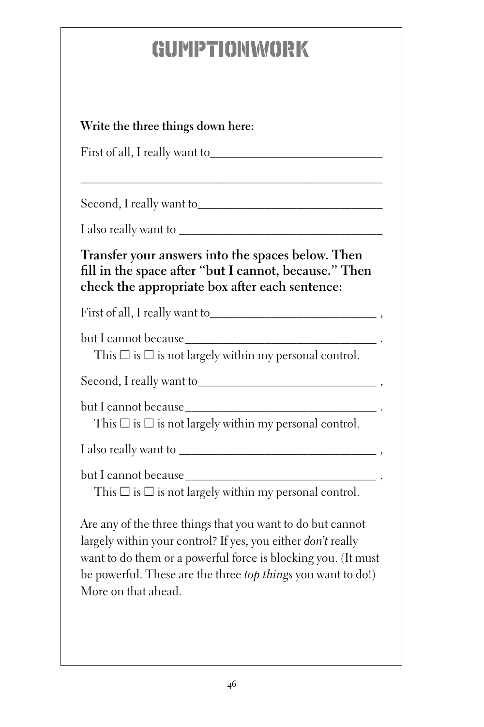# GUMPTIONWORK

| Write the three things down here:                                                                                                                                                                                                                                                  |
|------------------------------------------------------------------------------------------------------------------------------------------------------------------------------------------------------------------------------------------------------------------------------------|
|                                                                                                                                                                                                                                                                                    |
|                                                                                                                                                                                                                                                                                    |
|                                                                                                                                                                                                                                                                                    |
| Transfer your answers into the spaces below. Then<br>fill in the space after "but I cannot, because." Then<br>check the appropriate box after each sentence:                                                                                                                       |
|                                                                                                                                                                                                                                                                                    |
| This $\square$ is $\square$ is not largely within my personal control.                                                                                                                                                                                                             |
|                                                                                                                                                                                                                                                                                    |
| This $\square$ is $\square$ is not largely within my personal control.                                                                                                                                                                                                             |
|                                                                                                                                                                                                                                                                                    |
| This $\square$ is $\square$ is not largely within my personal control.                                                                                                                                                                                                             |
| Are any of the three things that you want to do but cannot<br>largely within your control? If yes, you either don't really<br>want to do them or a powerful force is blocking you. (It must<br>be powerful. These are the three top things you want to do!)<br>More on that ahead. |